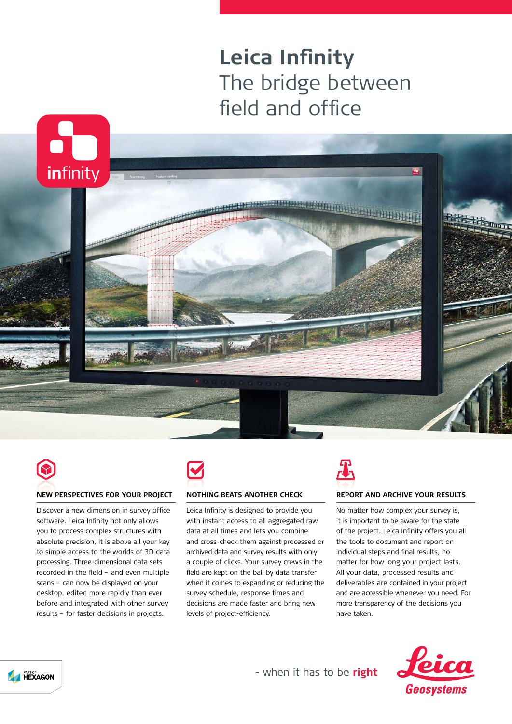## **Leica Infinity** The bridge between field and office





### **NEW PERSPECTIVES FOR YOUR PROJECT**

Discover a new dimension in survey office software. Leica Infinity not only allows you to process complex structures with absolute precision, it is above all your key to simple access to the worlds of 3D data processing. Three-dimensional data sets recorded in the field – and even multiple scans – can now be displayed on your desktop, edited more rapidly than ever before and integrated with other survey results – for faster decisions in projects.



### **NOTHING BEATS ANOTHER CHECK**

Leica Infinity is designed to provide you with instant access to all aggregated raw data at all times and lets you combine and cross-check them against processed or archived data and survey results with only a couple of clicks. Your survey crews in the field are kept on the ball by data transfer when it comes to expanding or reducing the survey schedule, response times and decisions are made faster and bring new levels of project-efficiency.

# $\boldsymbol{T}$

### **REPORT AND ARCHIVE YOUR RESULTS**

No matter how complex your survey is, it is important to be aware for the state of the project. Leica Infinity offers you all the tools to document and report on individual steps and final results, no matter for how long your project lasts. All your data, processed results and deliverables are contained in your project and are accessible whenever you need. For more transparency of the decisions you have taken.





- when it has to be right